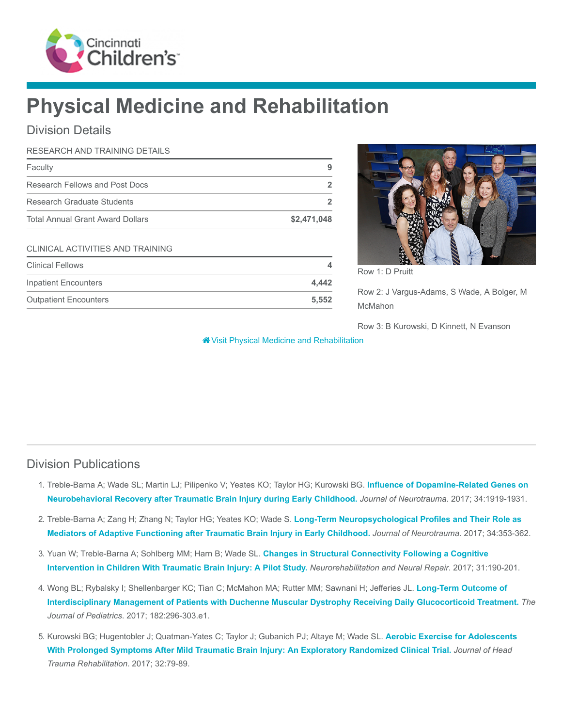

# Physical Medicine and Rehabilitation

# Division Details

| RESEARCH AND TRAINING DETAILS           |             |
|-----------------------------------------|-------------|
| Faculty                                 | 9           |
| Research Fellows and Post Docs          | 2           |
| Research Graduate Students              | 2           |
| <b>Total Annual Grant Award Dollars</b> | \$2,471,048 |
| CLINICAL ACTIVITIES AND TRAINING        |             |
| <b>Clinical Fellows</b>                 | 4           |
| <b>Inpatient Encounters</b>             | 4,442       |
| <b>Outpatient Encounters</b>            | 5,552       |



Row 1: D Pruitt

Row 2: J Vargus-Adams, S Wade, A Bolger, M McMahon

Row 3: B Kurowski, D Kinnett, N Evanson

[Visit Physical Medicine and Rehabilitation](https://www.cincinnatichildrens.org/research/divisions/p/physical-med-rehab)

## Division Publications

- 1. [Treble-Barna A; Wade SL; Martin LJ; Pilipenko V; Yeates KO; Taylor HG; Kurowski BG.](https://www.ncbi.nlm.nih.gov/pubmed/28323555) Influence of Dopamine-Related Genes on Neurobehavioral Recovery after Traumatic Brain Injury during Early Childhood. Journal of Neurotrauma. 2017; 34:1919-1931.
- 2. Treble-Barna A; Zang H; Zhang N; Taylor HG; Yeates KO; Wade S. Long-Term Neuropsychological Profiles and Their Role as [Mediators of Adaptive Functioning after Traumatic Brain Injury in Early Childhood.](https://www.ncbi.nlm.nih.gov/pubmed/27080734) Journal of Neurotrauma. 2017; 34:353-362.
- 3. Yuan W; Treble-Barna A; Sohlberg MM; Harn B; Wade SL. Changes in Structural Connectivity Following a Cognitive [Intervention in Children With Traumatic Brain Injury: A Pilot Study.](https://www.ncbi.nlm.nih.gov/pubmed/27798379) Neurorehabilitation and Neural Repair. 2017; 31:190-201.
- 4. Wong BL; Rybalsky I; Shellenbarger KC; Tian C; McMahon MA; Rutter MM; Sawnani H; Jefferies JL. Long-Term Outcome of [Interdisciplinary Management of Patients with Duchenne Muscular Dystrophy Receiving Daily Glucocorticoid Treatment.](https://www.ncbi.nlm.nih.gov/pubmed/28043681) The Journal of Pediatrics. 2017; 182:296-303.e1.
- 5. [Kurowski BG; Hugentobler J; Quatman-Yates C; Taylor J; Gubanich PJ; Altaye M; Wade SL.](https://www.ncbi.nlm.nih.gov/pubmed/27120294) Aerobic Exercise for Adolescents With Prolonged Symptoms After Mild Traumatic Brain Injury: An Exploratory Randomized Clinical Trial. Journal of Head Trauma Rehabilitation. 2017; 32:79-89.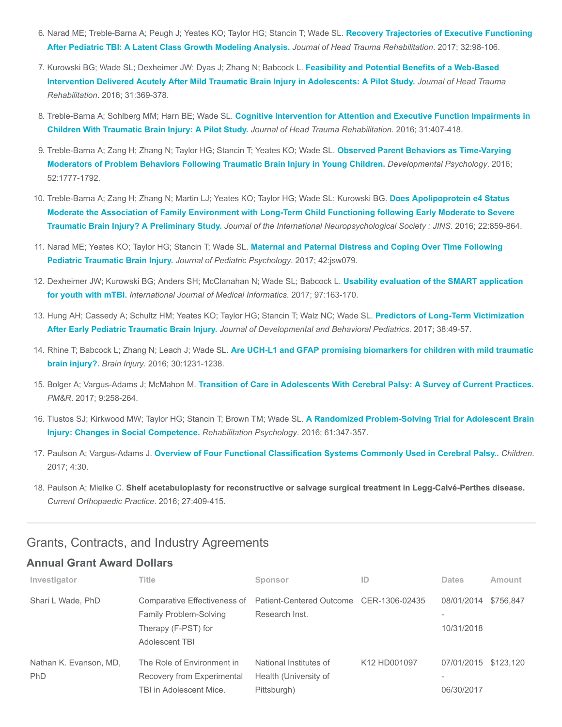- 6. [Narad ME; Treble-Barna A; Peugh J; Yeates KO; Taylor HG; Stancin T; Wade SL.](https://www.ncbi.nlm.nih.gov/pubmed/27455434) Recovery Trajectories of Executive Functioning After Pediatric TBI: A Latent Class Growth Modeling Analysis. Journal of Head Trauma Rehabilitation. 2017; 32:98-106.
- 7. Kurowski BG; Wade SL; Dexheimer JW; Dyas J; Zhang N; Babcock L. Feasibility and Potential Benefits of a Web-Based [Intervention Delivered Acutely After Mild Traumatic Brain Injury in Adolescents: A Pilot Study.](https://www.ncbi.nlm.nih.gov/pubmed/26360000) Journal of Head Trauma Rehabilitation. 2016; 31:369-378.
- 8. Treble-Barna A; Sohlberg MM; Harn BE; Wade SL. [Cognitive Intervention for Attention and Executive Function Impairments in](https://www.ncbi.nlm.nih.gov/pubmed/26580695) Children With Traumatic Brain Injury: A Pilot Study. Journal of Head Trauma Rehabilitation. 2016; 31:407-418.
- 9. Treble-Barna A; Zang H; Zhang N; Taylor HG; Stancin T; Yeates KO; Wade SL. Observed Parent Behaviors as Time-Varying [Moderators of Problem Behaviors Following Traumatic Brain Injury in Young Children.](https://www.ncbi.nlm.nih.gov/pubmed/27786528) Developmental Psychology. 2016; 52:1777-1792.
- 10. Treble-Barna A; Zang H; Zhang N; Martin LJ; Yeates KO; Taylor HG; Wade SL; Kurowski BG. Does Apolipoprotein e4 Status [Moderate the Association of Family Environment with Long-Term Child Functioning following Early Moderate to Severe](https://www.ncbi.nlm.nih.gov/pubmed/27480909) Traumatic Brain Injury? A Preliminary Study. Journal of the International Neuropsychological Society : JINS. 2016; 22:859-864.
- 11. Narad ME; Yeates KO; Taylor HG; Stancin T; Wade SL. [Maternal and Paternal Distress and Coping Over Time Following](https://www.ncbi.nlm.nih.gov/pubmed/27633324) Pediatric Traumatic Brain Injury. Journal of Pediatric Psychology. 2017; 42:jsw079.
- 12. [Dexheimer JW; Kurowski BG; Anders SH; McClanahan N; Wade SL; Babcock L.](https://www.ncbi.nlm.nih.gov/pubmed/27919376) Usability evaluation of the SMART application for youth with mTBI. International Journal of Medical Informatics. 2017; 97:163-170.
- 13. [Hung AH; Cassedy A; Schultz HM; Yeates KO; Taylor HG; Stancin T; Walz NC; Wade SL.](https://www.ncbi.nlm.nih.gov/pubmed/27984340) Predictors of Long-Term Victimization After Early Pediatric Traumatic Brain Injury. Journal of Developmental and Behavioral Pediatrics. 2017; 38:49-57.
- 14. Rhine T; Babcock L; Zhang N; Leach J; Wade SL. [Are UCH-L1 and GFAP promising biomarkers for children with mild traumatic](https://www.ncbi.nlm.nih.gov/pubmed/27416022) brain injury?. Brain Injury. 2016; 30:1231-1238.
- 15. Bolger A; Vargus-Adams J; McMahon M. [Transition of Care in Adolescents With Cerebral Palsy: A Survey of Current Practices.](https://www.ncbi.nlm.nih.gov/pubmed/27519825) PM&R. 2017; 9:258-264.
- 16. [Tlustos SJ; Kirkwood MW; Taylor HG; Stancin T; Brown TM; Wade SL.](https://www.ncbi.nlm.nih.gov/pubmed/27831729) A Randomized Problem-Solving Trial for Adolescent Brain Injury: Changes in Social Competence. Rehabilitation Psychology. 2016; 61:347-357.
- 17. Paulson A; Vargus-Adams J. [Overview of Four Functional Classification Systems Commonly Used in Cerebral Palsy..](https://www.ncbi.nlm.nih.gov/pubmed/28441773) Children. 2017; 4:30.
- 18. Paulson A; Mielke C. Shelf acetabuloplasty for reconstructive or salvage surgical treatment in Legg-Calvé-Perthes disease. Current Orthopaedic Practice. 2016; 27:409-415.

### Grants, Contracts, and Industry Agreements

#### Annual Grant Award Dollars

| Investigator                  | Title                                                                                                  | Sponsor                                                        | ID                                   | <b>Dates</b>             | Amount    |
|-------------------------------|--------------------------------------------------------------------------------------------------------|----------------------------------------------------------------|--------------------------------------|--------------------------|-----------|
| Shari L Wade, PhD             | Comparative Effectiveness of<br><b>Family Problem-Solving</b><br>Therapy (F-PST) for<br>Adolescent TBI | Patient-Centered Outcome CER-1306-02435<br>Research Inst.      |                                      | 08/01/2014<br>10/31/2018 | \$756,847 |
| Nathan K. Evanson, MD.<br>PhD | The Role of Environment in<br>Recovery from Experimental<br>TBI in Adolescent Mice.                    | National Institutes of<br>Health (University of<br>Pittsburgh) | K <sub>12</sub> H <sub>D001097</sub> | 07/01/2015<br>06/30/2017 | \$123.120 |